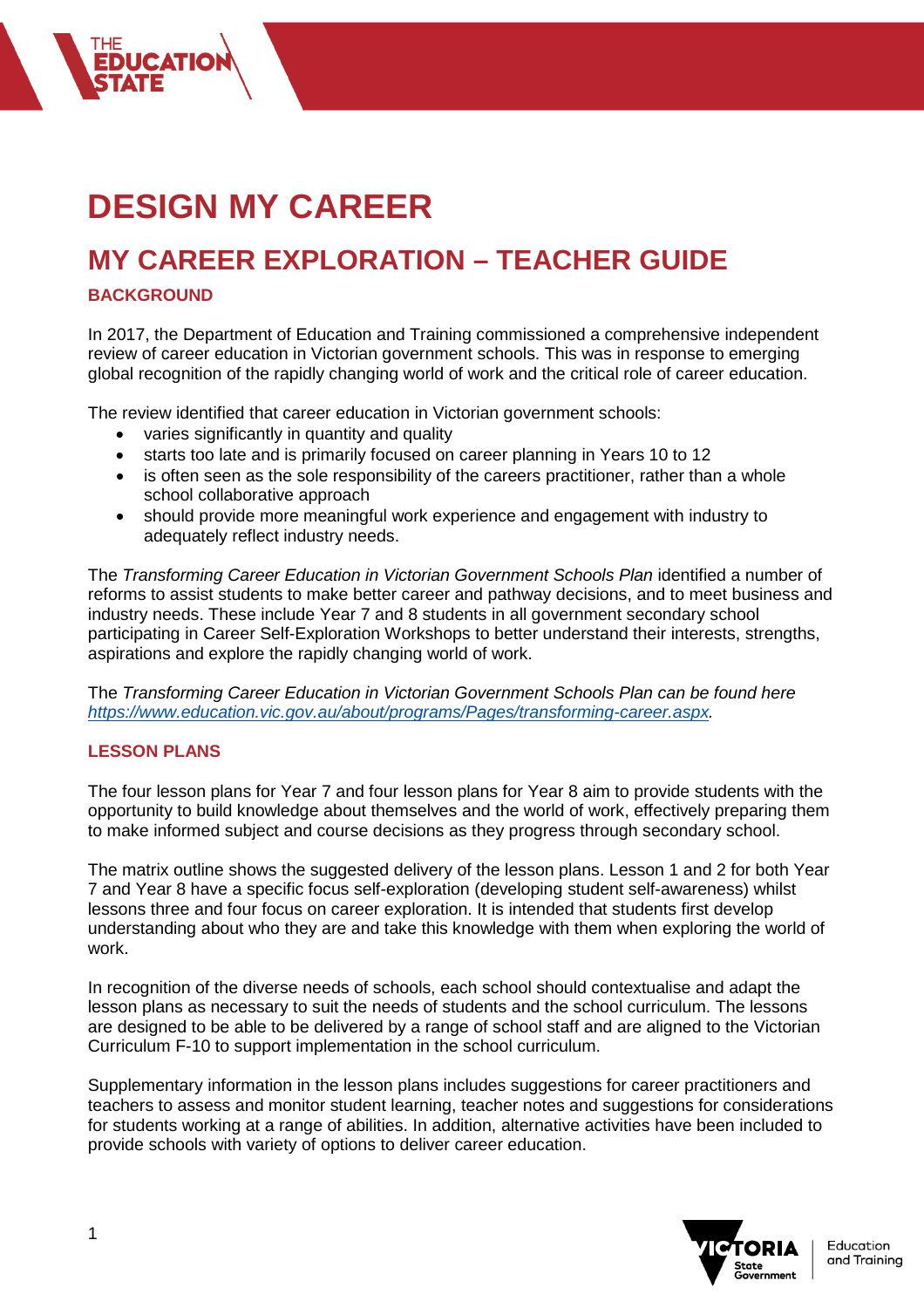# **DESIGN MY CAREER**

## **MY CAREER EXPLORATION – TEACHER GUIDE**

### **BACKGROUND**

In 2017, the Department of Education and Training commissioned a comprehensive independent review of career education in Victorian government schools. This was in response to emerging global recognition of the rapidly changing world of work and the critical role of career education.

The review identified that career education in Victorian government schools:

- varies significantly in quantity and quality
- starts too late and is primarily focused on career planning in Years 10 to 12
- is often seen as the sole responsibility of the careers practitioner, rather than a whole school collaborative approach
- should provide more meaningful work experience and engagement with industry to adequately reflect industry needs.

The *Transforming Career Education in Victorian Government Schools Plan* identified a number of reforms to assist students to make better career and pathway decisions, and to meet business and industry needs. These include Year 7 and 8 students in all government secondary school participating in Career Self-Exploration Workshops to better understand their interests, strengths, aspirations and explore the rapidly changing world of work.

The *Transforming Career Education in Victorian Government Schools Plan can be found here [https://www.education.vic.gov.au/about/programs/Pages/transforming-career.aspx.](https://www.education.vic.gov.au/about/programs/Pages/transforming-career.aspx)* 

#### **LESSON PLANS**

The four lesson plans for Year 7 and four lesson plans for Year 8 aim to provide students with the opportunity to build knowledge about themselves and the world of work, effectively preparing them to make informed subject and course decisions as they progress through secondary school.

The matrix outline shows the suggested delivery of the lesson plans. Lesson 1 and 2 for both Year 7 and Year 8 have a specific focus self-exploration (developing student self-awareness) whilst lessons three and four focus on career exploration. It is intended that students first develop understanding about who they are and take this knowledge with them when exploring the world of work.

In recognition of the diverse needs of schools, each school should contextualise and adapt the lesson plans as necessary to suit the needs of students and the school curriculum. The lessons are designed to be able to be delivered by a range of school staff and are aligned to the Victorian Curriculum F-10 to support implementation in the school curriculum.

Supplementary information in the lesson plans includes suggestions for career practitioners and teachers to assess and monitor student learning, teacher notes and suggestions for considerations for students working at a range of abilities. In addition, alternative activities have been included to provide schools with variety of options to deliver career education.

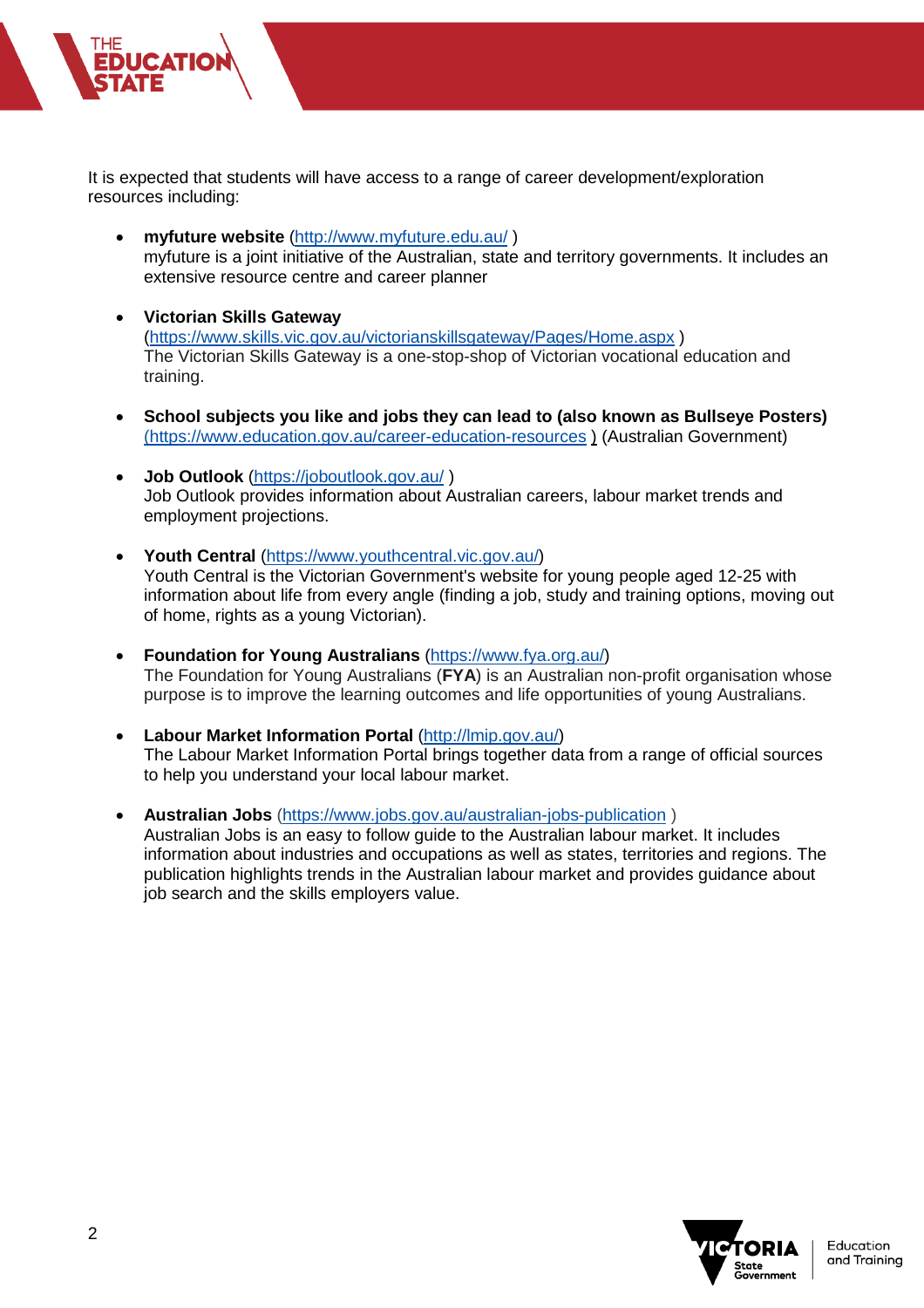It is expected that students will have access to a range of career development/exploration resources including:

- **myfuture website** [\(http://www.myfuture.edu.au/](http://www.myfuture.edu.au/) ) myfuture is a joint initiative of the Australian, state and territory governments. It includes an extensive resource centre and career planner
- **Victorian Skills Gateway** [\(https://www.skills.vic.gov.au/victorianskillsgateway/Pages/Home.aspx](https://www.skills.vic.gov.au/victorianskillsgateway/Pages/Home.aspx) ) The Victorian Skills Gateway is a one-stop-shop of Victorian vocational education and training.
- **School subjects you like and jobs they can lead to (also known as Bullseye Posters)** [\(https://www.education.gov.au/career-education-resources](https://www.education.gov.au/career-education-resources) ) (Australian Government)
- **Job Outlook** [\(https://joboutlook.gov.au/](https://joboutlook.gov.au/) ) Job Outlook provides information about Australian careers, labour market trends and employment projections.
- **Youth Central** [\(https://www.youthcentral.vic.gov.au/\)](https://www.youthcentral.vic.gov.au/) Youth Central is the Victorian Government's website for young people aged 12-25 with information about life from every angle (finding a job, study and training options, moving out of home, rights as a young Victorian).
- **Foundation for Young Australians** [\(https://www.fya.org.au/\)](https://www.fya.org.au/) The Foundation for Young Australians (**FYA**) is an Australian non-profit organisation whose purpose is to improve the learning outcomes and life opportunities of young Australians.
- **Labour Market Information Portal** [\(http://lmip.gov.au/\)](http://lmip.gov.au/) The Labour Market Information Portal brings together data from a range of official sources to help you understand your local labour market.
- **Australian Jobs** [\(https://www.jobs.gov.au/australian-jobs-publication](https://www.jobs.gov.au/australian-jobs-publication) ) Australian Jobs is an easy to follow guide to the Australian labour market. It includes information about industries and occupations as well as states, territories and regions. The publication highlights trends in the Australian labour market and provides guidance about job search and the skills employers value.